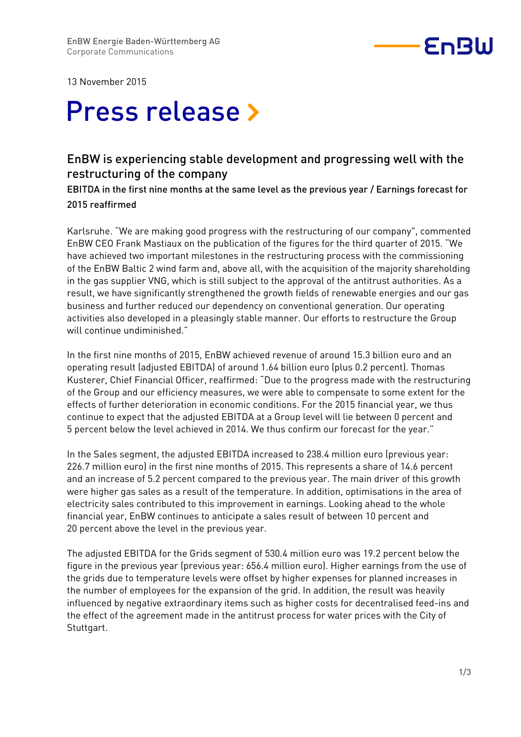

13 November 2015

# Press release »

## EnBW is experiencing stable development and progressing well with the restructuring of the company

EBITDA in the first nine months at the same level as the previous year / Earnings forecast for 2015 reaffirmed

Karlsruhe. "We are making good progress with the restructuring of our company", commented EnBW CEO Frank Mastiaux on the publication of the figures for the third quarter of 2015. "We have achieved two important milestones in the restructuring process with the commissioning of the EnBW Baltic 2 wind farm and, above all, with the acquisition of the majority shareholding in the gas supplier VNG, which is still subject to the approval of the antitrust authorities. As a result, we have significantly strengthened the growth fields of renewable energies and our gas business and further reduced our dependency on conventional generation. Our operating activities also developed in a pleasingly stable manner. Our efforts to restructure the Group will continue undiminished."

In the first nine months of 2015, EnBW achieved revenue of around 15.3 billion euro and an operating result (adjusted EBITDA) of around 1.64 billion euro (plus 0.2 percent). Thomas Kusterer, Chief Financial Officer, reaffirmed: "Due to the progress made with the restructuring of the Group and our efficiency measures, we were able to compensate to some extent for the effects of further deterioration in economic conditions. For the 2015 financial year, we thus continue to expect that the adjusted EBITDA at a Group level will lie between 0 percent and 5 percent below the level achieved in 2014. We thus confirm our forecast for the year."

In the Sales segment, the adjusted EBITDA increased to 238.4 million euro (previous year: 226.7 million euro) in the first nine months of 2015. This represents a share of 14.6 percent and an increase of 5.2 percent compared to the previous year. The main driver of this growth were higher gas sales as a result of the temperature. In addition, optimisations in the area of electricity sales contributed to this improvement in earnings. Looking ahead to the whole financial year, EnBW continues to anticipate a sales result of between 10 percent and 20 percent above the level in the previous year.

The adjusted EBITDA for the Grids segment of 530.4 million euro was 19.2 percent below the figure in the previous year (previous year: 656.4 million euro). Higher earnings from the use of the grids due to temperature levels were offset by higher expenses for planned increases in the number of employees for the expansion of the grid. In addition, the result was heavily influenced by negative extraordinary items such as higher costs for decentralised feed-ins and the effect of the agreement made in the antitrust process for water prices with the City of Stuttgart.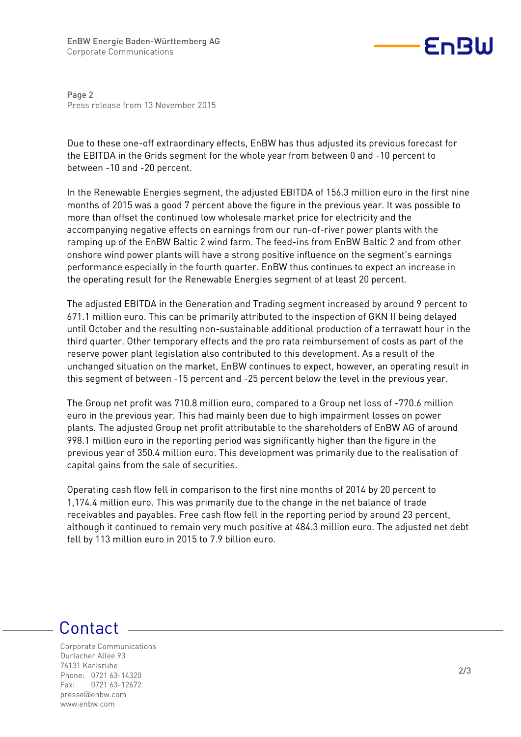

Page 2 Press release from 13 November 2015

Due to these one-off extraordinary effects, EnBW has thus adjusted its previous forecast for the EBITDA in the Grids segment for the whole year from between 0 and -10 percent to between -10 and -20 percent.

In the Renewable Energies segment, the adjusted EBITDA of 156.3 million euro in the first nine months of 2015 was a good 7 percent above the figure in the previous year. It was possible to more than offset the continued low wholesale market price for electricity and the accompanying negative effects on earnings from our run-of-river power plants with the ramping up of the EnBW Baltic 2 wind farm. The feed-ins from EnBW Baltic 2 and from other onshore wind power plants will have a strong positive influence on the segment's earnings performance especially in the fourth quarter. EnBW thus continues to expect an increase in the operating result for the Renewable Energies segment of at least 20 percent.

The adjusted EBITDA in the Generation and Trading segment increased by around 9 percent to 671.1 million euro. This can be primarily attributed to the inspection of GKN II being delayed until October and the resulting non-sustainable additional production of a terrawatt hour in the third quarter. Other temporary effects and the pro rata reimbursement of costs as part of the reserve power plant legislation also contributed to this development. As a result of the unchanged situation on the market, EnBW continues to expect, however, an operating result in this segment of between -15 percent and -25 percent below the level in the previous year.

The Group net profit was 710.8 million euro, compared to a Group net loss of -770.6 million euro in the previous year. This had mainly been due to high impairment losses on power plants. The adjusted Group net profit attributable to the shareholders of EnBW AG of around 998.1 million euro in the reporting period was significantly higher than the figure in the previous year of 350.4 million euro. This development was primarily due to the realisation of capital gains from the sale of securities.

Operating cash flow fell in comparison to the first nine months of 2014 by 20 percent to 1,174.4 million euro. This was primarily due to the change in the net balance of trade receivables and payables. Free cash flow fell in the reporting period by around 23 percent, although it continued to remain very much positive at 484.3 million euro. The adjusted net debt fell by 113 million euro in 2015 to 7.9 billion euro.

# Contact

Corporate Communications Durlacher Allee 93 76131 Karlsruhe Phone: 0721 63-14320 Fax: 0721 63-12672 presse@enbw.com www.enbw.com